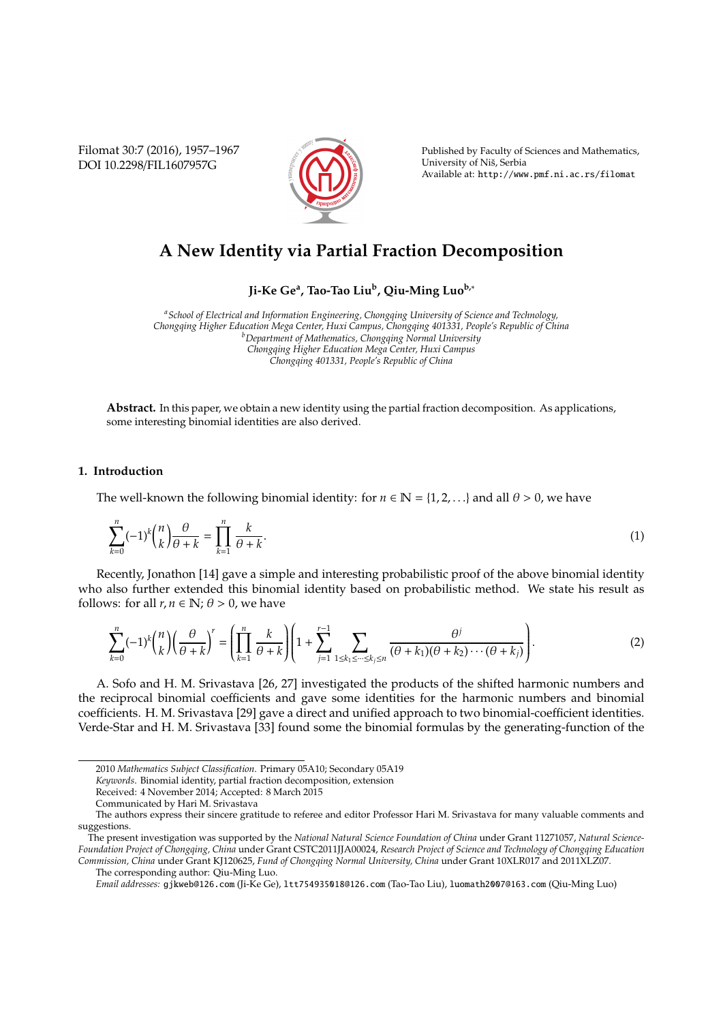Filomat 30:7 (2016), 1957–1967 DOI 10.2298/FIL1607957G



Published by Faculty of Sciences and Mathematics, University of Niš, Serbia Available at: http://www.pmf.ni.ac.rs/filomat

# **A New Identity via Partial Fraction Decomposition**

**Ji-Ke Ge<sup>a</sup> , Tao-Tao Liu<sup>b</sup> , Qiu-Ming Luob,**<sup>∗</sup>

*<sup>a</sup>School of Electrical and Information Engineering, Chongqing University of Science and Technology, Chongqing Higher Education Mega Center, Huxi Campus, Chongqing 401331, People's Republic of China <sup>b</sup>Department of Mathematics, Chongqing Normal University Chongqing Higher Education Mega Center, Huxi Campus Chongqing 401331, People's Republic of China*

**Abstract.** In this paper, we obtain a new identity using the partial fraction decomposition. As applications, some interesting binomial identities are also derived.

# **1. Introduction**

The well-known the following binomial identity: for  $n \in \mathbb{N} = \{1, 2, ...\}$  and all  $\theta > 0$ , we have

$$
\sum_{k=0}^{n}(-1)^{k}\binom{n}{k}\frac{\theta}{\theta+k}=\prod_{k=1}^{n}\frac{k}{\theta+k}.\tag{1}
$$

Recently, Jonathon [14] gave a simple and interesting probabilistic proof of the above binomial identity who also further extended this binomial identity based on probabilistic method. We state his result as follows: for all  $r, n \in \mathbb{N}$ ;  $\theta > 0$ , we have

$$
\sum_{k=0}^{n}(-1)^{k}\binom{n}{k}\left(\frac{\theta}{\theta+k}\right)^{r} = \left(\prod_{k=1}^{n}\frac{k}{\theta+k}\right)\left(1+\sum_{j=1}^{r-1}\sum_{1\leq k_{1}\leq\cdots\leq k_{j}\leq n}\frac{\theta^{j}}{(\theta+k_{1})(\theta+k_{2})\cdots(\theta+k_{j})}\right).
$$
\n(2)

A. Sofo and H. M. Srivastava [26, 27] investigated the products of the shifted harmonic numbers and the reciprocal binomial coefficients and gave some identities for the harmonic numbers and binomial coefficients. H. M. Srivastava [29] gave a direct and unified approach to two binomial-coefficient identities. Verde-Star and H. M. Srivastava [33] found some the binomial formulas by the generating-function of the

<sup>2010</sup> *Mathematics Subject Classification*. Primary 05A10; Secondary 05A19

*Keywords*. Binomial identity, partial fraction decomposition, extension

Received: 4 November 2014; Accepted: 8 March 2015

Communicated by Hari M. Srivastava

The authors express their sincere gratitude to referee and editor Professor Hari M. Srivastava for many valuable comments and suggestions.

The present investigation was supported by the *National Natural Science Foundation of China* under Grant 11271057, *Natural Science-Foundation Project of Chongqing, China* under Grant CSTC2011JJA00024, *Research Project of Science and Technology of Chongqing Education Commission, China* under Grant KJ120625, *Fund of Chongqing Normal University, China* under Grant 10XLR017 and 2011XLZ07.

The corresponding author: Qiu-Ming Luo.

*Email addresses:* gjkweb@126.com (Ji-Ke Ge), ltt754935018@126.com (Tao-Tao Liu), luomath2007@163.com (Qiu-Ming Luo)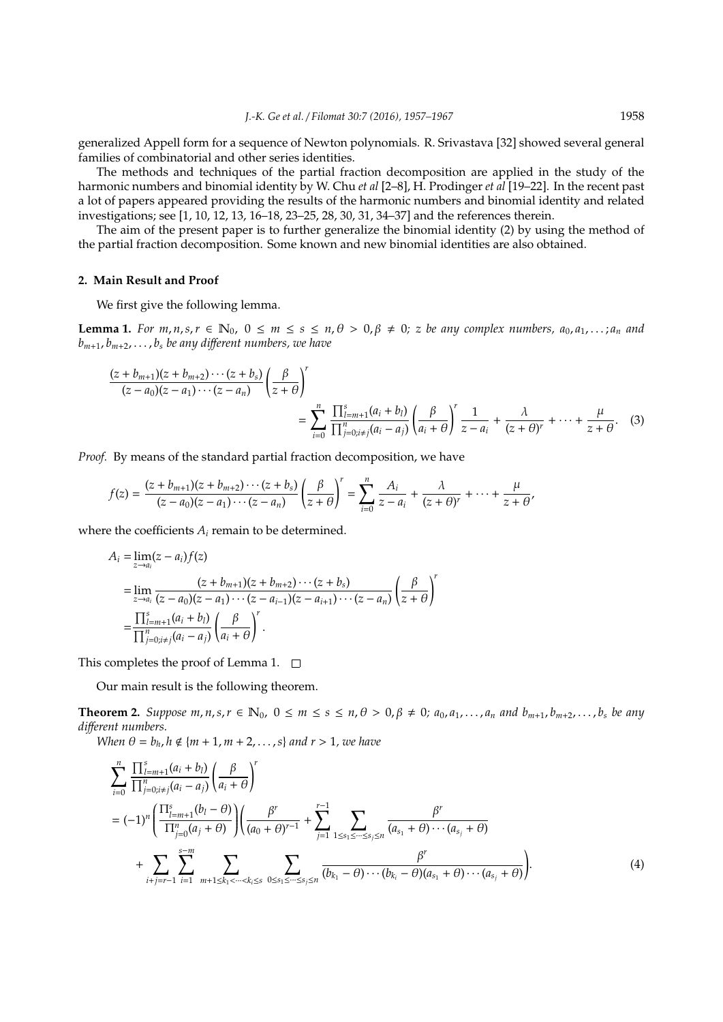generalized Appell form for a sequence of Newton polynomials. R. Srivastava [32] showed several general families of combinatorial and other series identities.

The methods and techniques of the partial fraction decomposition are applied in the study of the harmonic numbers and binomial identity by W. Chu *et al* [2–8], H. Prodinger *et al* [19–22]. In the recent past a lot of papers appeared providing the results of the harmonic numbers and binomial identity and related investigations; see [1, 10, 12, 13, 16–18, 23–25, 28, 30, 31, 34–37] and the references therein.

The aim of the present paper is to further generalize the binomial identity (2) by using the method of the partial fraction decomposition. Some known and new binomial identities are also obtained.

### **2. Main Result and Proof**

We first give the following lemma.

**Lemma 1.** For  $m, n, s, r \in \mathbb{N}_0$ ,  $0 \le m \le s \le n, \theta > 0, \beta \ne 0$ ; z be any complex numbers,  $a_0, a_1, \ldots, a_n$  and  $b_{m+1}, b_{m+2}, \ldots, b_s$  *be any different numbers, we have* 

$$
\frac{(z+b_{m+1})(z+b_{m+2})\cdots(z+b_{s})}{(z-a_{0})(z-a_{1})\cdots(z-a_{n})}\left(\frac{\beta}{z+\theta}\right)^{r}
$$
\n
$$
=\sum_{i=0}^{n}\frac{\prod_{l=m+1}^{s}(a_{i}+b_{l})}{\prod_{j=0;i\neq j}^{n}(a_{i}-a_{j})}\left(\frac{\beta}{a_{i}+\theta}\right)^{r}\frac{1}{z-a_{i}}+\frac{\lambda}{(z+\theta)^{r}}+\cdots+\frac{\mu}{z+\theta}.
$$
 (3)

*Proof.* By means of the standard partial fraction decomposition, we have

$$
f(z)=\frac{(z+b_{m+1})(z+b_{m+2})\cdots(z+b_s)}{(z-a_0)(z-a_1)\cdots(z-a_n)}\left(\frac{\beta}{z+\theta}\right)^r=\sum_{i=0}^n\frac{A_i}{z-a_i}+\frac{\lambda}{(z+\theta)^r}+\cdots+\frac{\mu}{z+\theta},
$$

where the coefficients *A<sup>i</sup>* remain to be determined.

$$
A_i = \lim_{z \to a_i} (z - a_i) f(z)
$$
  
= 
$$
\lim_{z \to a_i} \frac{(z + b_{m+1})(z + b_{m+2}) \cdots (z + b_s)}{(z - a_0)(z - a_1) \cdots (z - a_{i-1})(z - a_{i+1}) \cdots (z - a_n)} \left(\frac{\beta}{z + \theta}\right)^n
$$
  
= 
$$
\frac{\prod_{i=m+1}^s (a_i + b_i)}{\prod_{j=0; i \neq j}^n (a_i - a_j)} \left(\frac{\beta}{a_i + \theta}\right)^r.
$$

This completes the proof of Lemma 1.  $\square$ 

Our main result is the following theorem.

**Theorem 2.** Suppose  $m, n, s, r \in \mathbb{N}_0$ ,  $0 \le m \le s \le n, \theta > 0, \beta \ne 0$ ;  $a_0, a_1, \ldots, a_n$  and  $b_{m+1}, b_{m+2}, \ldots, b_s$  be any *di*ff*erent numbers.*

*When*  $\theta = b_h$ ,  $h \notin \{m+1, m+2, \ldots, s\}$  *and*  $r > 1$ , *we have* 

$$
\sum_{i=0}^{n} \frac{\prod_{j=m+1}^{s} (a_i + b_l)}{\prod_{j=0; i \neq j}^{n} (a_i - a_j)} \left( \frac{\beta}{a_i + \theta} \right)^r
$$
\n
$$
= (-1)^n \left( \frac{\prod_{j=m+1}^{s} (b_l - \theta)}{\prod_{j=0}^{n} (a_j + \theta)} \right) \left( \frac{\beta^r}{(a_0 + \theta)^{r-1}} + \sum_{j=1}^{r-1} \sum_{1 \le s_1 \le \dots \le s_j \le n} \frac{\beta^r}{(a_{s_1} + \theta) \cdots (a_{s_j} + \theta)} + \sum_{i+j=r-1}^{s-m} \sum_{i=1}^{n} \sum_{m+1 \le k_1 < \dots < k_i \le s} \sum_{0 \le s_1 \le \dots \le s_j \le n} \frac{\beta^r}{(b_{k_1} - \theta) \cdots (b_{k_i} - \theta)(a_{s_1} + \theta) \cdots (a_{s_j} + \theta)} \right). \tag{4}
$$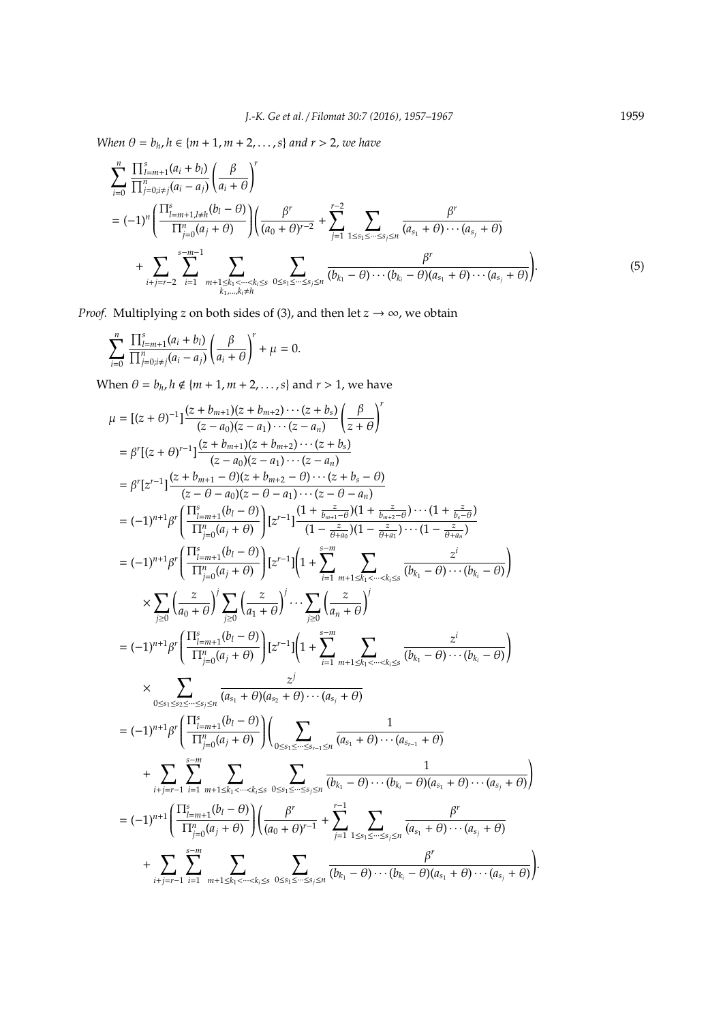*When*  $\theta = b_h$ ,  $h \in \{m + 1, m + 2, ..., s\}$  *and*  $r > 2$ *, we have* 

$$
\sum_{i=0}^{n} \frac{\prod_{l=m+1}^{s} (a_{i} + b_{l})}{\prod_{j=0; i \neq j}^{n} (a_{i} - a_{j})} \left(\frac{\beta}{a_{i} + \theta}\right)^{r}
$$
\n
$$
= (-1)^{n} \left(\frac{\prod_{l=m+1, l \neq h}^{s} (b_{l} - \theta)}{\prod_{j=0}^{n} (a_{j} + \theta)}\right) \left(\frac{\beta^{r}}{(a_{0} + \theta)^{r-2}} + \sum_{j=1}^{r-2} \sum_{1 \le s_{1} \le \dots \le s_{j} \le n} \frac{\beta^{r}}{(a_{s_{1}} + \theta) \cdots (a_{s_{j}} + \theta)} + \sum_{i+j=r-2} \sum_{i=1}^{s-m-1} \sum_{m+1 \le k_{1} < \dots < k_{i} \le s} \sum_{0 \le s_{1} \le \dots \le s_{j} \le n} \frac{\beta^{r}}{(b_{k_{1}} - \theta) \cdots (b_{k_{i}} - \theta)(a_{s_{1}} + \theta) \cdots (a_{s_{j}} + \theta)} \right).
$$
\n(5)

*Proof.* Multiplying *z* on both sides of (3), and then let  $z \rightarrow \infty$ , we obtain

$$
\sum_{i=0}^{n} \frac{\prod_{l=m+1}^{s} (a_i + b_l)}{\prod_{j=0; i \neq j}^{n} (a_i - a_j)} \left(\frac{\beta}{a_i + \theta}\right)^{r} + \mu = 0.
$$

When  $\theta = b_h$ ,  $h \notin \{m+1, m+2, ..., s\}$  and  $r > 1$ , we have

$$
\mu = [(z + \theta)^{-1}] \frac{(z + b_{m+1})(z + b_{m+2}) \cdots (z + b_s)}{(z - a_0)(z - a_1) \cdots (z - a_n)} \left(\frac{\beta}{z + \theta}\right)
$$
\n
$$
= \beta^r [(z + \theta)^{r-1}] \frac{(z + b_{m+1})(z + b_{m+2}) \cdots (z + b_s)}{(z - a_0)(z - a_1) \cdots (z - a_n)}
$$
\n
$$
= \beta^r [z^{r-1}] \frac{(z + b_{m+1} - \theta)(z + b_{m+2} - \theta) \cdots (z + b_s - \theta)}{(z - \theta - a_0)(z - \theta - a_1) \cdots (z - \theta - a_n)}
$$
\n
$$
= (-1)^{n+1} \beta^r \left(\frac{\prod_{i=m+1}^s (b_i - \theta)}{\prod_{i=0}^s (a_i + \theta)}\right) [z^{r-1}] \frac{(1 + \frac{z}{b_{m+1} - \theta})(1 + \frac{z}{b_{m+2} - \theta}) \cdots (1 + \frac{z}{b_s - \theta})}{(1 - \frac{z}{\theta + a_n}) \cdots (1 - \frac{z}{\theta + a_n})}
$$
\n
$$
= (-1)^{n+1} \beta^r \left(\frac{\prod_{i=m+1}^s (b_i - \theta)}{\prod_{j=0}^s (a_j + \theta)}\right) [z^{r-1}] \left(1 + \sum_{i=1}^{s-m} \sum_{m+1 \le k_1 < \cdots < k_i \le s} \frac{z^i}{(b_{k_1} - \theta) \cdots (b_{k_i} - \theta)}\right)
$$
\n
$$
\times \sum_{j\geq 0} \left(\frac{z}{a_0 + \theta}\right)^j \sum_{j\geq 0} \left(\frac{z}{a_1 + \theta}\right)^j \cdots \sum_{j\geq 0} \left(\frac{z}{a_n + \theta}\right)^j
$$
\n
$$
= (-1)^{n+1} \beta^r \left(\frac{\prod_{i=m+1}^s (b_i - \theta)}{\prod_{j=0}^s (a_j + \theta)}\right) [z^{r-1}] \left(1 + \sum_{i=1}^{s-m} \sum_{m+1 \le k_1 < \cdots < k_i \le s} \frac{z^i}{(b_{k_1} - \theta) \cd
$$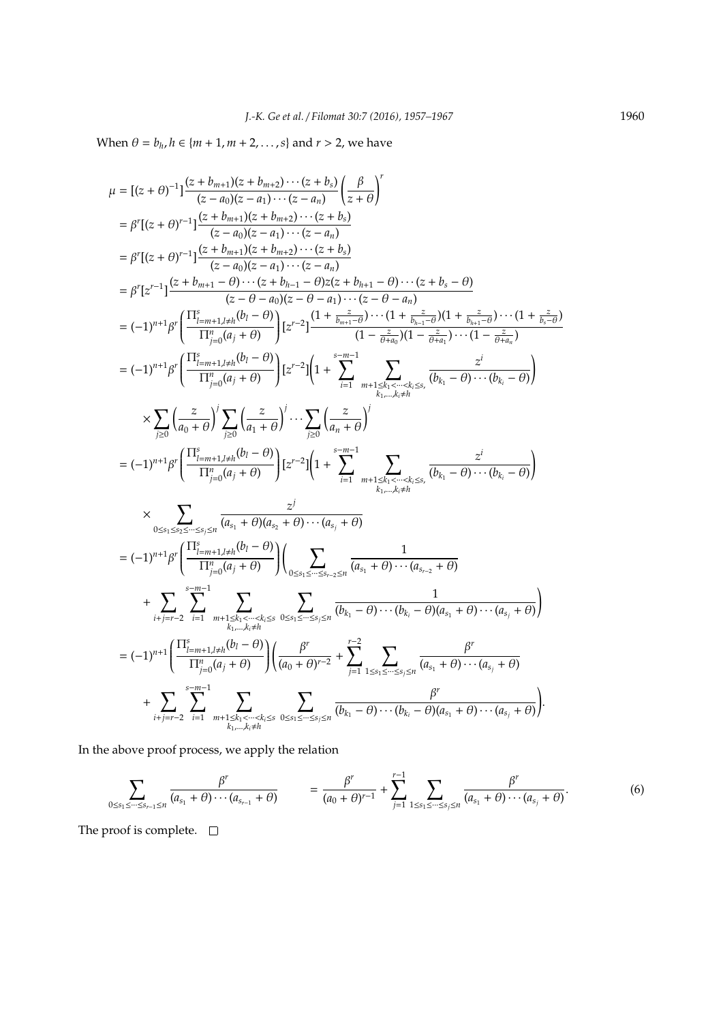When  $\theta = b_h$ ,  $h \in \{m + 1, m + 2, ..., s\}$  and  $r > 2$ , we have

$$
\mu = \left[ (z + \theta)^{-1} \right] \frac{(z + b_{m+1})(z + b_{m+2}) \cdots (z + b_s)}{(z - a_0)(z - a_1) \cdots (z - a_n)} \left( \frac{\beta}{z + \theta} \right)^r
$$
\n
$$
= \beta^r \left[ (z + \theta)^{r-1} \right] \frac{(z + b_{m+1})(z + b_{m+2}) \cdots (z + b_s)}{(z - a_0)(z - a_1) \cdots (z - a_n)}
$$
\n
$$
= \beta^r \left[ (z + \theta)^{r-1} \right] \frac{(z + b_{m+1})(z + b_{m+2}) \cdots (z + b_s)}{(z - a_0)(z - a_1) \cdots (z - a_n)}
$$
\n
$$
= \beta^r \left[ z^{r-1} \right] \frac{(z + b_{m+1} - \theta) \cdots (z + b_{n-1} - \theta) z(z + b_{n+1} - \theta) \cdots (z + b_s - \theta)}{(z - \theta - a_0)(z - \theta - a_1) \cdots (z - \theta - a_n)}
$$
\n
$$
= (-1)^{n+1} \beta^r \left( \frac{\prod_{j=m+1, j \neq j}^{s} (b_j + \theta)}{\prod_{j=0}^{s} (a_j + \theta)} \right) \left[ z^{r-2} \right] \frac{(1 + \frac{z}{b_{m+1} - \theta}) \cdots (1 + \frac{z}{b_{n-1} - \theta}) \cdots (1 + \frac{z}{b_{n+1} - \theta}) \cdots (1 + \frac{z}{b_{n+1} - \theta})}{(1 - \frac{z}{\theta + a_n}) \cdots (1 - \frac{z}{\theta + a_n})}
$$
\n
$$
\times \sum_{j \geq 0} \left( \frac{z}{a_0 + \theta} \right)^j \sum_{j \geq 0} \left( \frac{z}{a_1 + \theta} \right)^j \cdots \sum_{j \geq 0} \left( \frac{z}{a_n + \theta} \right)^j
$$
\n
$$
= (-1)^{n+1} \beta^r \left( \frac{\prod_{j=m+1, j \neq 0}^{s} (b_j + \theta)}{\prod_{j=0}^{s} (a_j + \theta)} \right) \left[ z^{r-2} \right] \left( 1 + \sum_{i=1}^{s-m
$$

In the above proof process, we apply the relation

$$
\sum_{0 \le s_1 \le \dots \le s_{r-1} \le n} \frac{\beta^r}{(a_{s_1} + \theta) \cdots (a_{s_{r-1}} + \theta)} = \frac{\beta^r}{(a_0 + \theta)^{r-1}} + \sum_{j=1}^{r-1} \sum_{1 \le s_1 \le \dots \le s_j \le n} \frac{\beta^r}{(a_{s_1} + \theta) \cdots (a_{s_j} + \theta)}.
$$
(6)

The proof is complete.  $\quad \Box$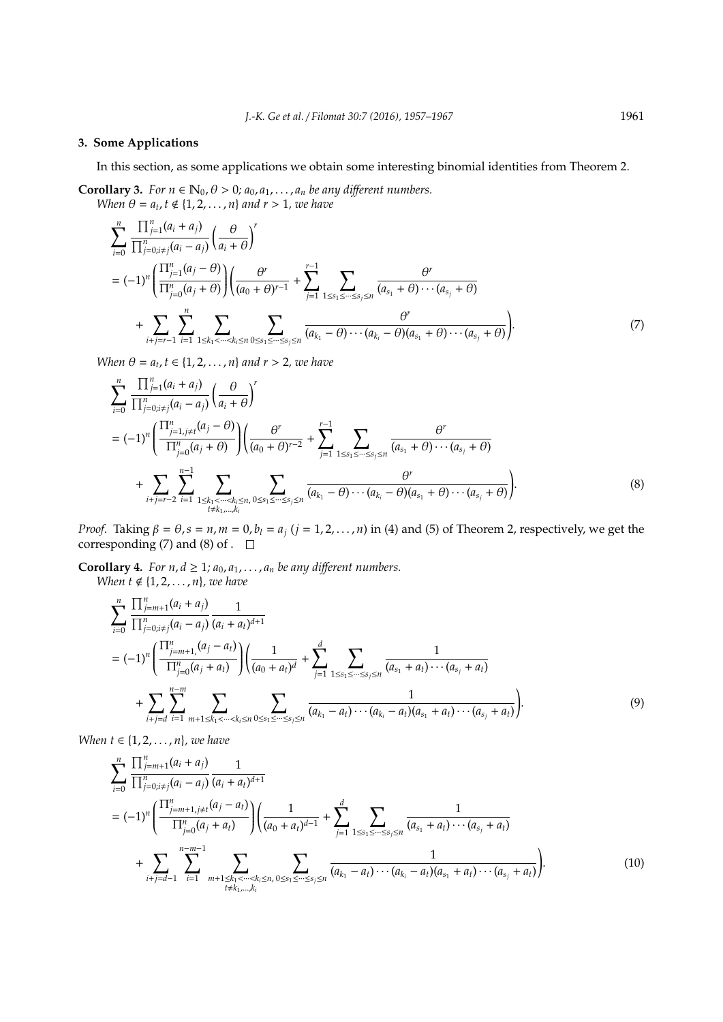# **3. Some Applications**

In this section, as some applications we obtain some interesting binomial identities from Theorem 2.

**Corollary 3.** *For*  $n \in \mathbb{N}_0$ ,  $\theta > 0$ ;  $a_0, a_1, \ldots, a_n$  *be any different numbers. When*  $\theta = a_t$ ,  $t \notin \{1, 2, ..., n\}$  *and*  $r > 1$ , *we have* 

$$
\sum_{i=0}^{n} \frac{\prod_{j=1}^{n} (a_i + a_j)}{\prod_{j=0}^{n} (a_i - a_j)} \left(\frac{\theta}{a_i + \theta}\right)^r
$$
  
=  $(-1)^n \left(\frac{\prod_{j=1}^{n} (a_j - \theta)}{\prod_{j=0}^{n} (a_j + \theta)}\right) \left(\frac{\theta^r}{(a_0 + \theta)^{r-1}} + \sum_{j=1}^{r-1} \sum_{1 \le s_1 \le \dots \le s_j \le n} \frac{\theta^r}{(a_{s_1} + \theta) \cdots (a_{s_j} + \theta)} + \sum_{i+j=r-1}^{n} \sum_{i=1}^{n} \sum_{1 \le k_1 < \dots < k_i \le n} \sum_{0 \le s_1 \le \dots \le s_j \le n} \frac{\theta^r}{(a_{k_1} - \theta) \cdots (a_{k_i} - \theta)(a_{s_1} + \theta) \cdots (a_{s_j} + \theta)}\right).$  (7)

*When*  $\theta = a_t, t \in \{1, 2, ..., n\}$  *and*  $r > 2$ *, we have* 

$$
\sum_{i=0}^{n} \frac{\prod_{j=1}^{n} (a_i + a_j)}{\prod_{j=0, i \neq j}^{n} (a_i - a_j)} \left( \frac{\theta}{a_i + \theta} \right)^r
$$
\n
$$
= (-1)^n \left( \frac{\prod_{j=1, j \neq i}^{n} (a_j - \theta)}{\prod_{j=0}^{n} (a_j + \theta)} \right) \left( \frac{\theta^r}{(a_0 + \theta)^{r-2}} + \sum_{j=1}^{r-1} \sum_{1 \leq s_1 \leq \dots \leq s_j \leq n} \frac{\theta^r}{(a_{s_1} + \theta) \cdots (a_{s_j} + \theta)} \right)
$$
\n
$$
+ \sum_{i+j=r-2} \sum_{i=1}^{n-1} \sum_{\substack{1 \leq k_1 < \dots < k_i \leq n, \, 0 \leq s_1 \leq \dots \leq s_j \leq n}} \frac{\theta^r}{(a_{k_1} - \theta) \cdots (a_{k_i} - \theta)(a_{s_1} + \theta) \cdots (a_{s_j} + \theta)} \right).
$$
\n(8)

*Proof.* Taking  $\beta = \theta$ ,  $s = n$ ,  $m = 0$ ,  $b_l = a_j$  ( $j = 1, 2, ..., n$ ) in (4) and (5) of Theorem 2, respectively, we get the corresponding (7) and (8) of .  $\square$ 

**Corollary 4.** *For n,*  $d \geq 1$ *;*  $a_0, a_1, \ldots, a_n$  *be any different numbers.* 

*When*  $t \notin \{1, 2, \ldots, n\}$ *, we have* 

$$
\sum_{i=0}^{n} \frac{\prod_{j=m+1}^{n} (a_i + a_j)}{\prod_{j=0}^{n} (a_i - a_j)} \frac{1}{(a_i + a_t)^{d+1}}
$$
\n
$$
= (-1)^n \left( \frac{\prod_{j=m+1}^{n} (a_j - a_i)}{\prod_{j=0}^{n} (a_j + a_t)} \right) \left( \frac{1}{(a_0 + a_t)^d} + \sum_{j=1}^d \sum_{1 \le s_1 \le \dots \le s_j \le n} \frac{1}{(a_{s_1} + a_t) \cdots (a_{s_j} + a_t)} \right)
$$
\n
$$
+ \sum_{i+j=d} \sum_{i=1}^{n-m} \sum_{m+1 \le k_1 < \dots < k_i \le n} \sum_{0 \le s_1 \le \dots \le s_j \le n} \frac{1}{(a_{k_1} - a_t) \cdots (a_{k_i} - a_t)(a_{s_1} + a_t) \cdots (a_{s_j} + a_t)} \right). \tag{9}
$$

*When t* ∈ {1, 2, . . . , *n*}*, we have*

$$
\sum_{i=0}^{n} \frac{\prod_{j=m+1}^{n} (a_i + a_j)}{\prod_{j=0}^{n} (a_j - a_j)} \frac{1}{(a_i + a_t)^{d+1}}
$$
\n
$$
= (-1)^n \left( \frac{\prod_{j=m+1, j \neq t}^{n} (a_j - a_t)}{\prod_{j=0}^{n} (a_j + a_t)} \right) \left( \frac{1}{(a_0 + a_t)^{d-1}} + \sum_{j=1}^{d} \sum_{1 \leq s_1 \leq \dots \leq s_j \leq n} \frac{1}{(a_{s_1} + a_t) \cdots (a_{s_j} + a_t)} + \sum_{i+j=d-1}^{n-m-1} \sum_{i=1}^{n-m-1} \sum_{m+1 \leq k_1 < \dots < k_i \leq n, 0 \leq s_1 \leq \dots \leq s_j \leq n} \frac{1}{(a_{k_1} - a_t) \cdots (a_{k_i} - a_t)(a_{s_1} + a_t) \cdots (a_{s_j} + a_t)} \right). \tag{10}
$$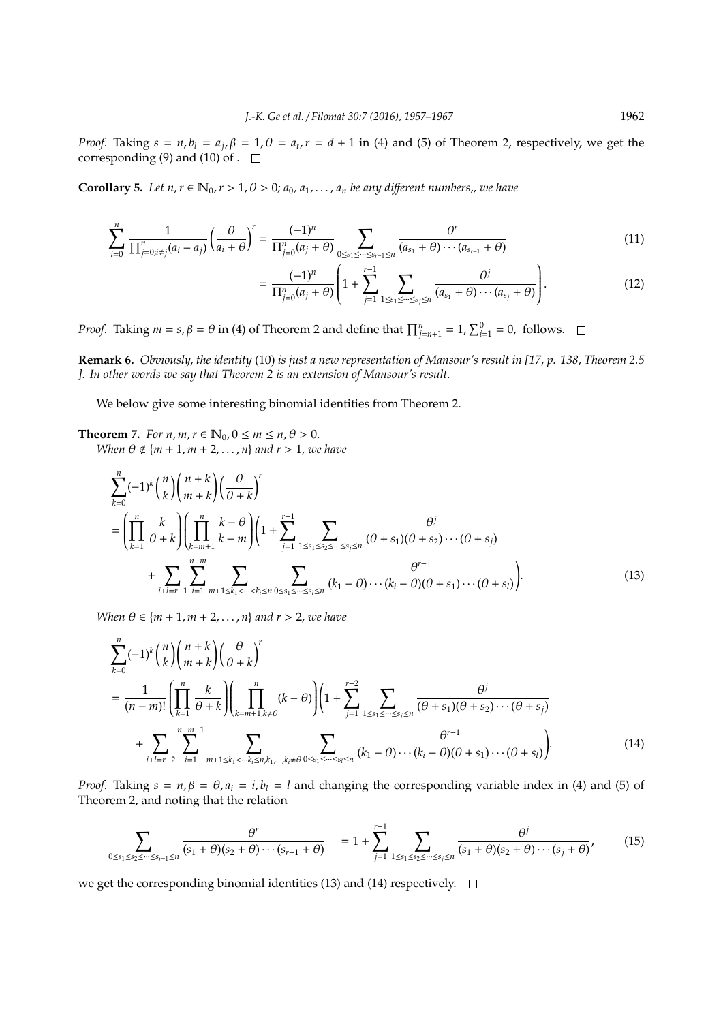*Proof.* Taking  $s = n$ ,  $b_l = a_j$ ,  $\beta = 1$ ,  $\theta = a_t$ ,  $r = d + 1$  in (4) and (5) of Theorem 2, respectively, we get the corresponding (9) and (10) of .  $\Box$ 

**Corollary 5.** Let  $n, r \in \mathbb{N}_0$ ,  $r > 1$ ,  $\theta > 0$ ;  $a_0, a_1, \ldots, a_n$  be any different numbers,, we have

$$
\sum_{i=0}^{n} \frac{1}{\prod_{j=0; i \neq j}^{n} (a_i - a_j)} \left( \frac{\theta}{a_i + \theta} \right)^r = \frac{(-1)^n}{\prod_{j=0}^{n} (a_j + \theta)} \sum_{0 \le s_1 \le \dots \le s_{r-1} \le n} \frac{\theta^r}{(a_{s_1} + \theta) \cdots (a_{s_{r-1}} + \theta)}
$$
(11)

$$
= \frac{(-1)^n}{\prod_{j=0}^n (a_j + \theta)} \left( 1 + \sum_{j=1}^{r-1} \sum_{1 \le s_1 \le \dots \le s_j \le n} \frac{\theta^j}{(a_{s_1} + \theta) \cdots (a_{s_j} + \theta)} \right). \tag{12}
$$

*Proof.* Taking  $m = s$ ,  $\beta = \theta$  in (4) of Theorem 2 and define that  $\prod_{j=n+1}^{n} = 1$ ,  $\sum_{i=1}^{0} = 0$ , follows.

**Remark 6.** *Obviously, the identity* (10) *is just a new representation of Mansour's result in [17, p. 138, Theorem 2.5 ]. In other words we say that Theorem 2 is an extension of Mansour's result.*

We below give some interesting binomial identities from Theorem 2.

**Theorem 7.** *For*  $n, m, r \in \mathbb{N}_0$ ,  $0 \le m \le n, \theta > 0$ . *When*  $\theta \notin \{m+1, m+2, \ldots, n\}$  *and*  $r > 1$ *, we have* 

$$
\sum_{k=0}^{n} (-1)^{k} {n \choose k} {n+k \choose m+k} \left(\frac{\theta}{\theta+k}\right)^{r}
$$
\n
$$
= \left(\prod_{k=1}^{n} \frac{k}{\theta+k}\right) \left(\prod_{k=m+1}^{n} \frac{k-\theta}{k-m}\right) \left(1 + \sum_{j=1}^{r-1} \sum_{1 \le s_1 \le s_2 \le \dots \le s_j \le n} \frac{\theta^{j}}{(\theta+s_1)(\theta+s_2)\cdots(\theta+s_j)} + \sum_{i+l=r-1}^{n-m} \sum_{i=1}^{n-m} \sum_{m+1 \le k_1 < \dots < k_i \le n} \sum_{0 \le s_1 \le \dots \le s_j \le n} \frac{\theta^{r-1}}{(k_1 - \theta)\cdots(k_i - \theta)(\theta+s_1)\cdots(\theta+s_l)}\right). \tag{13}
$$

*When*  $\theta \in \{m+1, m+2, ..., n\}$  *and r* > 2*, we have* 

$$
\sum_{k=0}^{n}(-1)^{k}\binom{n}{k}\binom{n+k}{m+k}\left(\frac{\theta}{\theta+k}\right)^{r}
$$
\n
$$
=\frac{1}{(n-m)!}\left(\prod_{k=1}^{n}\frac{k}{\theta+k}\right)\left(\prod_{k=m+1,k\neq\theta}^{n}(k-\theta)\right)\left(1+\sum_{j=1}^{r-2}\sum_{1\leq s_{1}\leq\cdots\leq s_{j}\leq n}\frac{\theta^{j}}{(\theta+s_{1})(\theta+s_{2})\cdots(\theta+s_{j})} + \sum_{i+l=r-2}^{n-m-1}\sum_{i=1}^{n-m-1}\sum_{m+1\leq k_{1}\leq\cdots k_{i}\leq n,k_{1},\ldots,k_{i}\neq\theta}\sum_{0\leq s_{1}\leq\cdots\leq s_{j}\leq n}\frac{\theta^{r-1}}{(k_{1}-\theta)\cdots(k_{i}-\theta)(\theta+s_{1})\cdots(\theta+s_{l})}\right).
$$
\n(14)

*Proof.* Taking  $s = n$ ,  $\beta = \theta$ ,  $a_i = i$ ,  $b_l = l$  and changing the corresponding variable index in (4) and (5) of Theorem 2, and noting that the relation

$$
\sum_{0 \le s_1 \le s_2 \le \dots \le s_{r-1} \le n} \frac{\theta^r}{(s_1 + \theta)(s_2 + \theta) \cdots (s_{r-1} + \theta)} = 1 + \sum_{j=1}^{r-1} \sum_{1 \le s_1 \le s_2 \le \dots \le s_j \le n} \frac{\theta^j}{(s_1 + \theta)(s_2 + \theta) \cdots (s_j + \theta)},
$$
(15)

we get the corresponding binomial identities (13) and (14) respectively.  $\Box$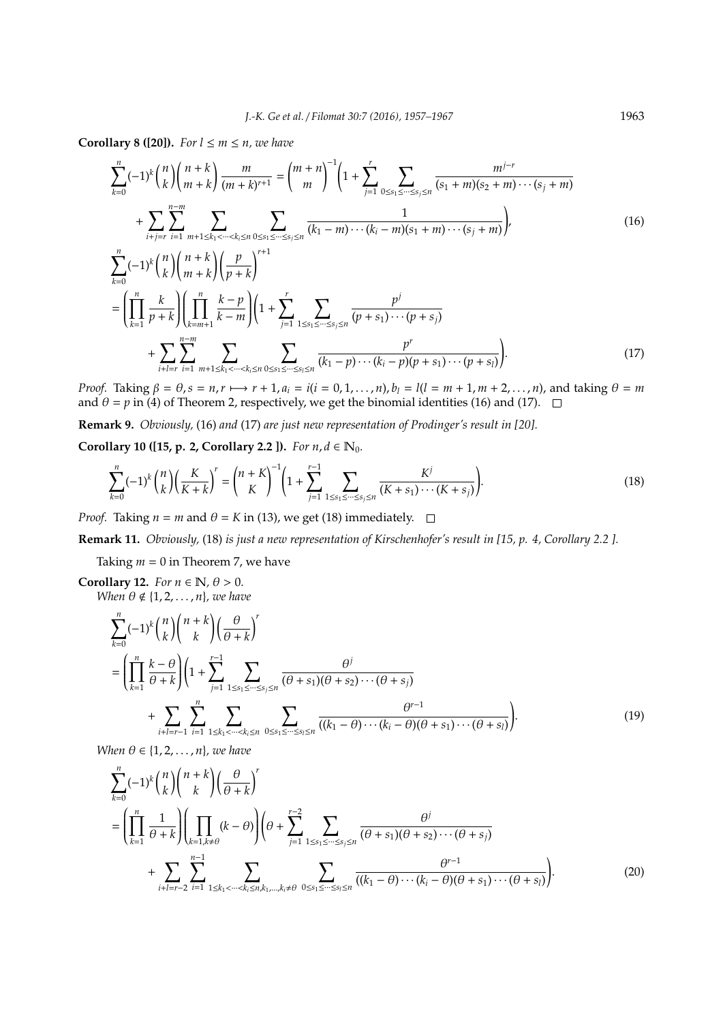**Corollary 8 ([20]).** *For*  $l \leq m \leq n$ *, we have* 

$$
\sum_{k=0}^{n}(-1)^{k}\binom{n}{k}\binom{n+k}{m+k}\frac{m}{(m+k)^{r+1}} = \binom{m+n}{m}^{-1}\left(1+\sum_{j=1}^{r}\sum_{0\le s_{1}\le\cdots\le s_{j}\le n}\frac{m^{j-r}}{(s_{1}+m)(s_{2}+m)\cdots(s_{j}+m)}\right) + \sum_{i+j=r}^{n-m}\sum_{i=1}^{r}\sum_{m+1\le k_{1}\le\cdots\le k_{i}\le n}\sum_{0\le s_{1}\le\cdots\le s_{j}\le n}\frac{1}{(k_{1}-m)\cdots(k_{i}-m)(s_{1}+m)\cdots(s_{j}+m)}\right),
$$
\n(16)  
\n
$$
\sum_{k=0}^{n}(-1)^{k}\binom{n}{k}\binom{n+k}{m+k}\left(\frac{p}{p+k}\right)^{r+1} = \left(\prod_{k=m+1}^{n}\frac{k-p}{k-m}\right)\left(1+\sum_{j=1}^{r}\sum_{1\le s_{1}\le\cdots\le s_{j}\le n}\frac{p^{j}}{(p+s_{1})\cdots(p+s_{j})} + \sum_{i+l=r}^{n-m}\sum_{i=1}^{n}\sum_{m+1\le k_{1}\le\cdots\le k_{i}\le n}\sum_{0\le s_{1}\le\cdots\le s_{j}\le n}\frac{p^{r}}{(k_{1}-p)\cdots(k_{i}-p)(p+s_{1})\cdots(p+s_{j})}\right).
$$
\n(17)

*Proof.* Taking  $\beta = \theta$ ,  $s = n$ ,  $r \mapsto r + 1$ ,  $a_i = i(i = 0, 1, ..., n)$ ,  $b_l = l(l = m + 1, m + 2, ..., n)$ , and taking  $\theta = m$ and  $\theta = p$  in (4) of Theorem 2, respectively, we get the binomial identities (16) and (17).  $\Box$ 

**Remark 9.** *Obviously,* (16) *and* (17) *are just new representation of Prodinger's result in [20].*

**Corollary 10 ([15, p. 2, Corollary 2.2 ]).** *For*  $n, d \in \mathbb{N}_0$ *.* 

$$
\sum_{k=0}^{n} (-1)^{k} {n \choose k} \left(\frac{K}{K+k}\right)^{r} = {n+K \choose K}^{-1} \left(1 + \sum_{j=1}^{r-1} \sum_{1 \le s_1 \le \dots \le s_j \le n} \frac{K^{j}}{(K+s_1)\cdots(K+s_j)}\right).
$$
(18)

*Proof.* Taking  $n = m$  and  $\theta = K$  in (13), we get (18) immediately.  $\square$ 

**Remark 11.** *Obviously,* (18) *is just a new representation of Kirschenhofer's result in [15, p. 4, Corollary 2.2 ].*

Taking  $m = 0$  in Theorem 7, we have

**Corollary 12.** *For*  $n \in \mathbb{N}$ ,  $\theta > 0$ . *When*  $\theta \notin \{1, 2, \ldots, n\}$ *, we have* 

$$
\sum_{k=0}^{n} (-1)^{k} {n \choose k} {n+k \choose k} \left(\frac{\theta}{\theta+k}\right)^{r}
$$
\n
$$
= \left(\prod_{k=1}^{n} \frac{k-\theta}{\theta+k}\right) \left(1 + \sum_{j=1}^{r-1} \sum_{1 \le s_{1} \le \dots \le s_{j} \le n} \frac{\theta^{j}}{(\theta+s_{1})(\theta+s_{2})\cdots(\theta+s_{j})} + \sum_{i+l=r-1}^{n} \sum_{i=1}^{r} \sum_{1 \le k_{1} \le \dots \le k_{i} \le n} \sum_{0 \le s_{1} \le \dots \le s_{j} \le n} \frac{\theta^{r-1}}{((k_{1}-\theta)\cdots(k_{i}-\theta)(\theta+s_{1})\cdots(\theta+s_{l})}\right).
$$
\n(19)

*When*  $\theta \in \{1, 2, \ldots, n\}$ *, we have* 

$$
\sum_{k=0}^{n}(-1)^{k}\binom{n}{k}\binom{n+k}{k}\left(\frac{\theta}{\theta+k}\right)^{r}
$$
\n
$$
=\left(\prod_{k=1}^{n}\frac{1}{\theta+k}\right)\left(\prod_{k=1,k\neq\theta}(k-\theta)\right)\left(\theta+\sum_{j=1}^{r-2}\sum_{1\leq s_{1}\leq\cdots\leq s_{j}\leq n}\frac{\theta^{j}}{(\theta+s_{1})(\theta+s_{2})\cdots(\theta+s_{j})} + \sum_{i+l=r-2}\sum_{i=1}^{n-1}\sum_{1\leq k_{1}\leq\cdots\leq k_{i}\leq n,k_{1},\ldots,k_{i}\neq\theta}\sum_{0\leq s_{1}\leq\cdots\leq s_{j}\leq n}\frac{\theta^{r-1}}{((k_{1}-\theta)\cdots(k_{i}-\theta)(\theta+s_{1})\cdots(\theta+s_{l})}\right).
$$
\n(20)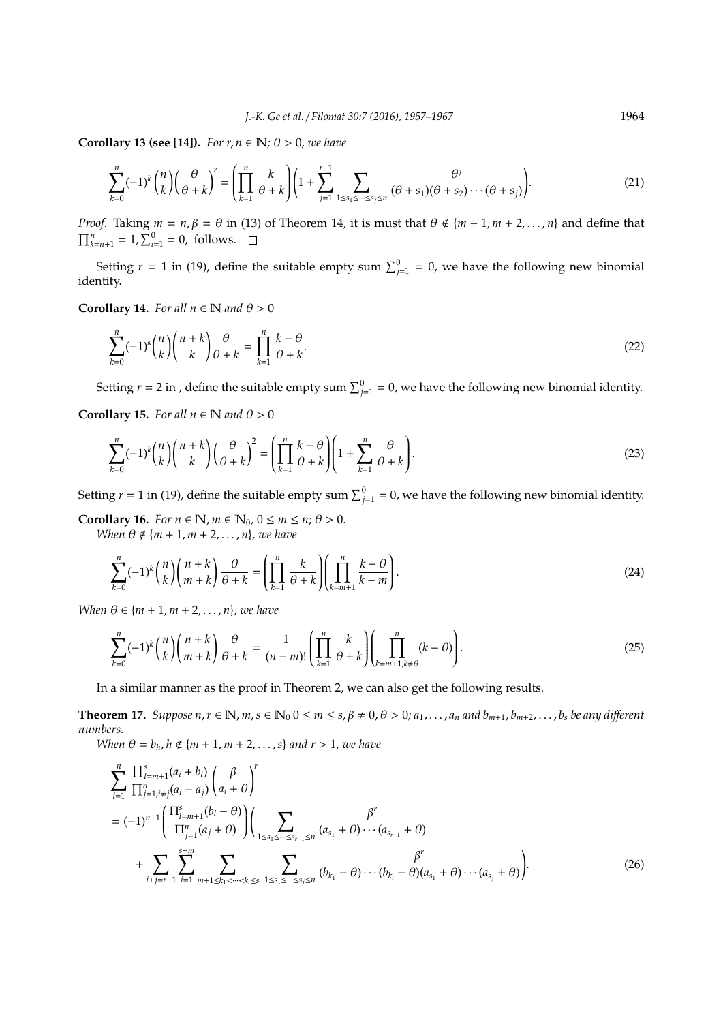**Corollary 13 (see [14]).** *For r, n*  $\in \mathbb{N}$ ;  $\theta > 0$ *, we have* 

$$
\sum_{k=0}^{n}(-1)^{k}\binom{n}{k}\left(\frac{\theta}{\theta+k}\right)^{r} = \left(\prod_{k=1}^{n}\frac{k}{\theta+k}\right)\left(1+\sum_{j=1}^{r-1}\sum_{1\leq s_{1}\leq\cdots\leq s_{j}\leq n}\frac{\theta^{j}}{(\theta+s_{1})(\theta+s_{2})\cdots(\theta+s_{j})}\right).
$$
\n(21)

*Proof.* Taking  $m = n, \beta = \theta$  in (13) of Theorem 14, it is must that  $\theta \notin \{m+1, m+2, ..., n\}$  and define that  $\prod_{k=n+1}^{n} = 1, \sum_{i=1}^{0} = 0$ , follows.

Setting  $r = 1$  in (19), define the suitable empty sum  $\sum_{j=1}^{0} = 0$ , we have the following new binomial identity.

**Corollary 14.** *For all*  $n \in \mathbb{N}$  *and*  $\theta > 0$ 

$$
\sum_{k=0}^{n} (-1)^{k} {n \choose k} {n+k \choose k} \frac{\theta}{\theta+k} = \prod_{k=1}^{n} \frac{k-\theta}{\theta+k}.
$$
\n(22)

Setting  $r = 2$  in , define the suitable empty sum  $\sum_{j=1}^{0} = 0$ , we have the following new binomial identity. **Corollary 15.** *For all*  $n \in \mathbb{N}$  *and*  $\theta > 0$ 

$$
\sum_{k=0}^{n} (-1)^{k} {n \choose k} {n+k \choose k} \left(\frac{\theta}{\theta+k}\right)^{2} = \left(\prod_{k=1}^{n} \frac{k-\theta}{\theta+k}\right) \left(1 + \sum_{k=1}^{n} \frac{\theta}{\theta+k}\right).
$$
\n(23)

Setting  $r = 1$  in (19), define the suitable empty sum  $\sum_{j=1}^{0} = 0$ , we have the following new binomial identity.

**Corollary 16.** *For*  $n \in \mathbb{N}$ ,  $m \in \mathbb{N}_0$ ,  $0 \le m \le n$ ;  $\theta > 0$ . *When*  $\theta \notin \{m+1, m+2, \ldots, n\}$ *, we have* 

$$
\sum_{k=0}^{n}(-1)^{k}\binom{n}{k}\binom{n+k}{m+k}\frac{\theta}{\theta+k}=\left(\prod_{k=1}^{n}\frac{k}{\theta+k}\right)\left(\prod_{k=m+1}^{n}\frac{k-\theta}{k-m}\right).
$$
\n(24)

*When*  $\theta \in \{m+1, m+2, \ldots, n\}$ *, we have* 

$$
\sum_{k=0}^{n}(-1)^{k}\binom{n}{k}\binom{n+k}{m+k}\frac{\theta}{\theta+k}=\frac{1}{(n-m)!}\left(\prod_{k=1}^{n}\frac{k}{\theta+k}\right)\left(\prod_{k=m+1,k\neq\theta}^{n}(k-\theta)\right).
$$
\n(25)

In a similar manner as the proof in Theorem 2, we can also get the following results.

**Theorem 17.** Suppose  $n, r \in \mathbb{N}$ ,  $m, s \in \mathbb{N}_0$   $0 \le m \le s$ ,  $\beta \ne 0$ ,  $\theta > 0$ ;  $a_1, \ldots, a_n$  and  $b_{m+1}, b_{m+2}, \ldots, b_s$  be any different *numbers.*

*When*  $\theta = b_h$ ,  $h \notin \{m+1, m+2, \ldots, s\}$  *and*  $r > 1$ , *we have* 

$$
\sum_{i=1}^{n} \frac{\prod_{l=m+1}^{s} (a_i + b_l)}{\prod_{j=1; i \neq j}^{n} (a_i - a_j)} \left( \frac{\beta}{a_i + \theta} \right)^r
$$
\n
$$
= (-1)^{n+1} \left( \frac{\prod_{l=m+1}^{s} (b_l - \theta)}{\prod_{j=1}^{n} (a_j + \theta)} \right) \left( \sum_{1 \leq s_1 \leq \dots \leq s_{r-1} \leq n} \frac{\beta^r}{(a_{s_1} + \theta) \cdots (a_{s_{r-1}} + \theta)} \right) + \sum_{i+j=r-1} \sum_{i=1}^{s-m} \sum_{m+1 \leq k_1 < \dots < k_i \leq s} \sum_{1 \leq s_1 \leq \dots \leq s_j \leq n} \frac{\beta^r}{(b_{k_1} - \theta) \cdots (b_{k_i} - \theta)(a_{s_1} + \theta) \cdots (a_{s_j} + \theta)} \right). \tag{26}
$$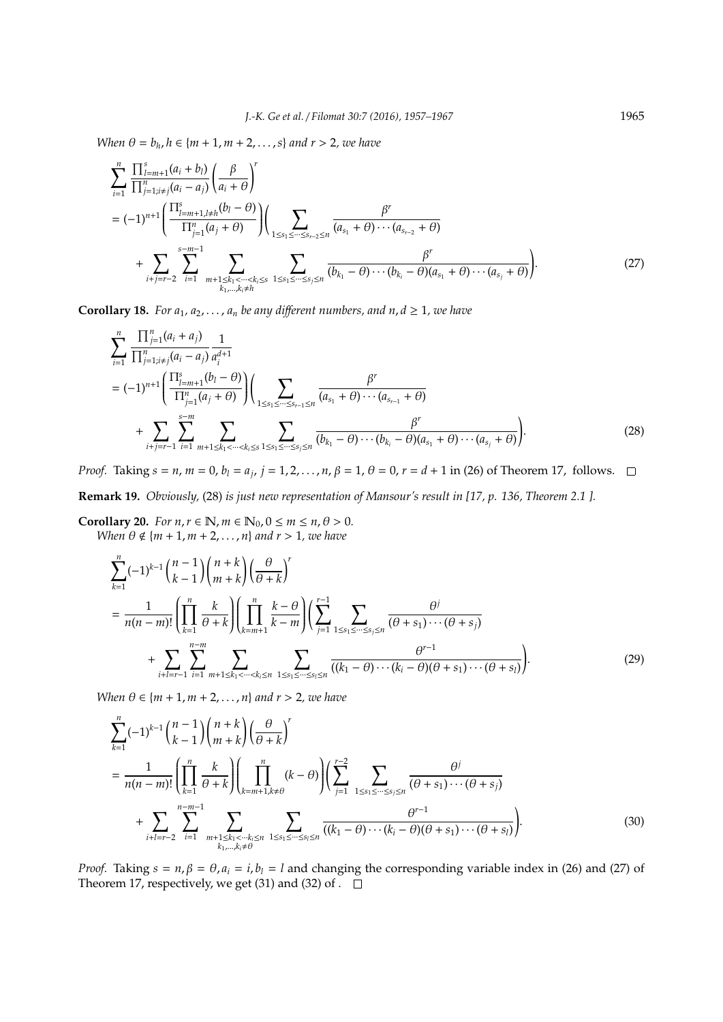*When*  $\theta = b_h$ ,  $h \in \{m+1, m+2, ..., s\}$  *and*  $r > 2$ *, we have* 

$$
\sum_{i=1}^{n} \frac{\prod_{j=m+1}^{s} (a_i + b_l)}{\prod_{j=1; i \neq j}^{n} (a_i - a_j)} \left( \frac{\beta}{a_i + \theta} \right)^r
$$
\n
$$
= (-1)^{n+1} \left( \frac{\prod_{j=m+1, j \neq h}^{s} (b_l - \theta)}{\prod_{j=1}^{n} (a_j + \theta)} \right) \left( \sum_{1 \leq s_1 \leq \dots \leq s_{r-2} \leq n} \frac{\beta^r}{(a_{s_1} + \theta) \cdots (a_{s_{r-2}} + \theta)} \right) + \sum_{i+j=r-2} \sum_{i=1}^{s-m-1} \sum_{m+1 \leq k_1 < \dots < k_i \leq s} \sum_{1 \leq s_1 \leq \dots \leq s_j \leq n} \frac{\beta^r}{(b_{k_1} - \theta) \cdots (b_{k_i} - \theta)(a_{s_1} + \theta) \cdots (a_{s_j} + \theta)} \right). \tag{27}
$$

**Corollary 18.** *For*  $a_1$ *,*  $a_2$ *,...,*  $a_n$  *be any different numbers, and*  $n$ *,*  $d \ge 1$ *, we have* 

$$
\sum_{i=1}^{n} \frac{\prod_{j=1}^{n} (a_i + a_j)}{\prod_{j=1}^{n} (a_i - a_j)} \frac{1}{a_i^{d+1}}
$$
\n
$$
= (-1)^{n+1} \left( \frac{\prod_{j=m+1}^{s} (b_i - \theta)}{\prod_{j=1}^{n} (a_j + \theta)} \right) \left( \sum_{1 \le s_1 \le \dots \le s_{r-1} \le n} \frac{\beta^r}{(a_{s_1} + \theta) \cdots (a_{s_{r-1}} + \theta)} + \sum_{i+j=r-1} \sum_{i=1}^{s-m} \sum_{m+1 \le k_1 < \dots < k_i \le s} \sum_{1 \le s_1 \le \dots \le s_j \le n} \frac{\beta^r}{(b_{k_1} - \theta) \cdots (b_{k_i} - \theta)(a_{s_1} + \theta) \cdots (a_{s_j} + \theta)} \right). \tag{28}
$$

*Proof.* Taking *s* = *n*, *m* = 0, *b*<sub>*l*</sub> = *a*<sub>*j*</sub>, *j* = 1, 2, . . . , *n*, β = 1, θ = 0, *r* = *d* + 1 in (26) of Theorem 17, follows. **Remark 19.** *Obviously,* (28) *is just new representation of Mansour's result in [17, p. 136, Theorem 2.1 ].*

**Corollary 20.** *For*  $n, r \in \mathbb{N}$ ,  $m \in \mathbb{N}_0$ ,  $0 \le m \le n$ ,  $\theta > 0$ . *When*  $\theta \notin \{m+1, m+2, \ldots, n\}$  *and*  $r > 1$ *, we have* 

$$
\sum_{k=1}^{n} (-1)^{k-1} {n-1 \choose k-1} {n+k \choose m+k} \left(\frac{\theta}{\theta+k}\right)^{r}
$$
\n
$$
= \frac{1}{n(n-m)!} \left(\prod_{k=1}^{n} \frac{k}{\theta+k}\right) \left(\prod_{k=m+1}^{n} \frac{k-\theta}{k-m}\right) \left(\sum_{j=1}^{r-1} \sum_{1 \le s_1 \le \dots \le s_j \le n} \frac{\theta^{j}}{(\theta+s_1)\cdots(\theta+s_j)} + \sum_{i+l=r-1}^{n-m} \sum_{i=1}^{n-m} \sum_{m+1 \le k_1 < \dots < k_i \le n} \sum_{1 \le s_1 \le \dots \le s_j \le n} \frac{\theta^{r-1}}{((k_1-\theta)\cdots(k_i-\theta)(\theta+s_1)\cdots(\theta+s_l)}\right).
$$
\n(29)

*When*  $\theta \in \{m+1, m+2, \ldots, n\}$  *and*  $r > 2$ *, we have* 

$$
\sum_{k=1}^{n}(-1)^{k-1}\binom{n-1}{k-1}\binom{n+k}{m+k}\left(\frac{\theta}{\theta+k}\right)^{r}
$$
\n
$$
=\frac{1}{n(n-m)!}\left(\prod_{k=1}^{n}\frac{k}{\theta+k}\right)\left(\prod_{k=m+1,k\neq\theta}^{n}\left(k-\theta\right)\right)\left(\sum_{j=1}^{r-2}\sum_{1\leq s_{1}\leq\cdots\leq s_{j}\leq n}\frac{\theta^{j}}{(\theta+s_{1})\cdots(\theta+s_{j})} + \sum_{i+l=r-2}\sum_{i=1}^{n-m-1}\sum_{m+1\leq k_{1}\leq\cdots k_{i}\leq n}\sum_{1\leq s_{1}\leq\cdots\leq s_{j}\leq n}\frac{\theta^{r-1}}{((k_{1}-\theta)\cdots(k_{i}-\theta)(\theta+s_{1})\cdots(\theta+s_{j})}\right).
$$
\n(30)

*Proof.* Taking  $s = n$ ,  $\beta = \theta$ ,  $a_i = i$ ,  $b_l = l$  and changing the corresponding variable index in (26) and (27) of Theorem 17, respectively, we get (31) and (32) of .  $\Box$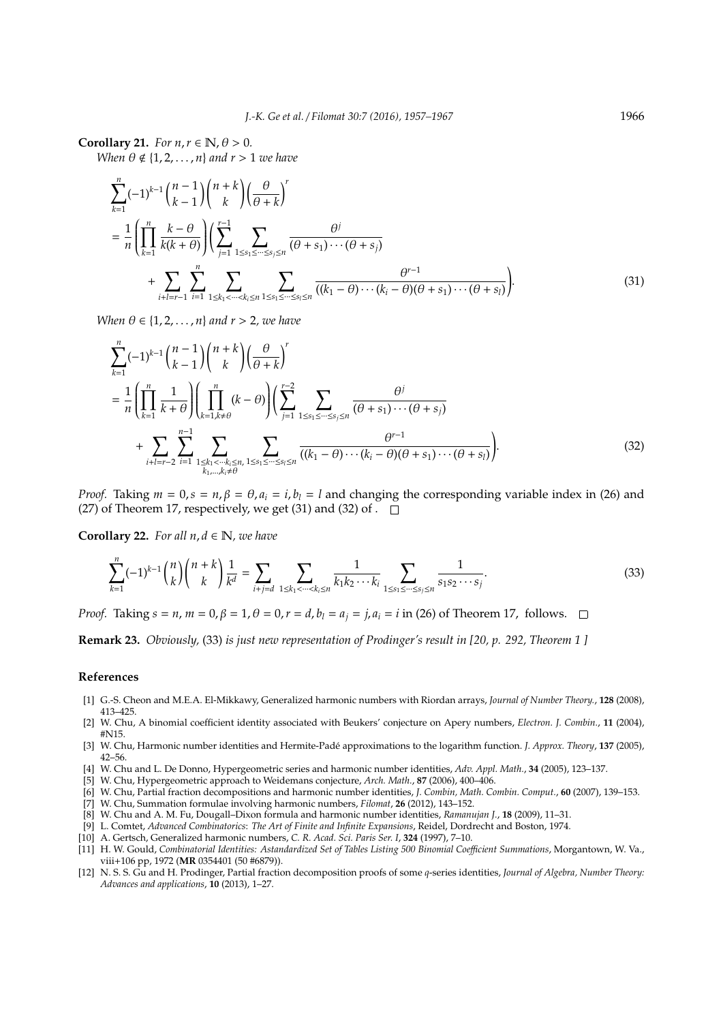**Corollary 21.** *For*  $n, r \in \mathbb{N}, \theta > 0$ .

*When*  $\theta \notin \{1, 2, \ldots, n\}$  *and*  $r > 1$  *we have* 

$$
\sum_{k=1}^{n} (-1)^{k-1} {n-1 \choose k-1} {n+k \choose k} \left(\frac{\theta}{\theta+k}\right)^{r}
$$
  
= 
$$
\frac{1}{n} \left( \prod_{k=1}^{n} \frac{k-\theta}{k(k+\theta)} \right) \left( \sum_{j=1}^{r-1} \sum_{1 \le s_1 \le \dots \le s_j \le n} \frac{\theta^{j}}{(\theta+s_1)\cdots(\theta+s_j)}
$$
  
+ 
$$
\sum_{i+l=r-1}^{n} \sum_{i=1}^{n} \sum_{1 \le k_1 < \dots < k_i \le n} \sum_{1 \le s_1 \le \dots \le s_j \le n} \frac{\theta^{r-1}}{((k_1-\theta)\cdots(k_i-\theta)(\theta+s_1)\cdots(\theta+s_l)} \right).
$$
(31)

*When*  $\theta \in \{1, 2, \ldots, n\}$  *and*  $r > 2$ *, we have* 

$$
\sum_{k=1}^{n}(-1)^{k-1}\binom{n-1}{k-1}\binom{n+k}{k}\left(\frac{\theta}{\theta+k}\right)^{r}
$$
\n
$$
= \frac{1}{n}\left(\prod_{k=1}^{n}\frac{1}{k+\theta}\right)\left(\prod_{k=1,k\neq\theta}^{n}(k-\theta)\right)\left(\sum_{j=1}^{r-2}\sum_{1\leq s_{1}\leq\cdots\leq s_{j}\leq n}\frac{\theta^{j}}{(\theta+s_{1})\cdots(\theta+s_{j})} + \sum_{i+l=r-2}\sum_{i=1}^{n-1}\sum_{\substack{1\leq k_{1}\leq\cdots k_{i}\leq n,\\k_{1},\ldots,k_{i}\neq\theta}}\sum_{1\leq s_{1}\leq\cdots\leq s_{j}\leq n}\frac{\theta^{r-1}}{((k_{1}-\theta)\cdots(k_{i}-\theta)(\theta+s_{1})\cdots(\theta+s_{l})}\right).
$$
\n(32)

*Proof.* Taking  $m = 0$ ,  $s = n$ ,  $\beta = \theta$ ,  $a_i = i$ ,  $b_l = l$  and changing the corresponding variable index in (26) and (27) of Theorem 17, respectively, we get (31) and (32) of  $.\square$ 

**Corollary 22.** *For all*  $n, d \in \mathbb{N}$ *, we have* 

$$
\sum_{k=1}^{n} (-1)^{k-1} {n \choose k} {n+k \choose k} \frac{1}{k^d} = \sum_{i+j=d} \sum_{1 \le k_1 < \dots < k_i \le n} \frac{1}{k_1 k_2 \cdots k_i} \sum_{1 \le s_1 \le \dots \le s_j \le n} \frac{1}{s_1 s_2 \cdots s_j}.
$$
 (33)

*Proof.* Taking  $s = n$ ,  $m = 0$ ,  $\beta = 1$ ,  $\theta = 0$ ,  $r = d$ ,  $b_l = a_j = j$ ,  $a_i = i$  in (26) of Theorem 17, follows.  $\square$ 

**Remark 23.** *Obviously,* (33) *is just new representation of Prodinger's result in [20, p. 292, Theorem 1 ]*

#### **References**

- [1] G.-S. Cheon and M.E.A. El-Mikkawy, Generalized harmonic numbers with Riordan arrays, *Journal of Number Theory.*, **128** (2008), 413–425.
- [2] W. Chu, A binomial coefficient identity associated with Beukers' conjecture on Apery numbers, *Electron. J. Combin.*, **11** (2004), #N15.
- [3] W. Chu, Harmonic number identities and Hermite-Padé approximations to the logarithm function. *J. Approx. Theory*, 137 (2005), 42–56.
- [4] W. Chu and L. De Donno, Hypergeometric series and harmonic number identities, *Adv. Appl. Math.*, **34** (2005), 123–137.
- [5] W. Chu, Hypergeometric approach to Weidemans conjecture, *Arch. Math.*, **87** (2006), 400–406.
- [6] W. Chu, Partial fraction decompositions and harmonic number identities, *J. Combin, Math. Combin. Comput.*, **60** (2007), 139–153.
- [7] W. Chu, Summation formulae involving harmonic numbers, *Filomat*, **26** (2012), 143–152.
- [8] W. Chu and A. M. Fu, Dougall–Dixon formula and harmonic number identities, *Ramanujan J.*, **18** (2009), 11–31.
- [9] L. Comtet, *Advanced Combinatorics*: *The Art of Finite and Infinite Expansions*, Reidel, Dordrecht and Boston, 1974.
- [10] A. Gertsch, Generalized harmonic numbers, *C. R. Acad. Sci. Paris Ser. I*, **324** (1997), 7–10.
- [11] H. W. Gould, *Combinatorial Identities: Astandardized Set of Tables Listing 500 Binomial Coe*ffi*cient Summations*, Morgantown, W. Va., viii+106 pp, 1972 (**MR** 0354401 (50 #6879)).
- [12] N. S. S. Gu and H. Prodinger, Partial fraction decomposition proofs of some *q*-series identities, *Journal of Algebra, Number Theory: Advances and applications*, **10** (2013), 1–27.